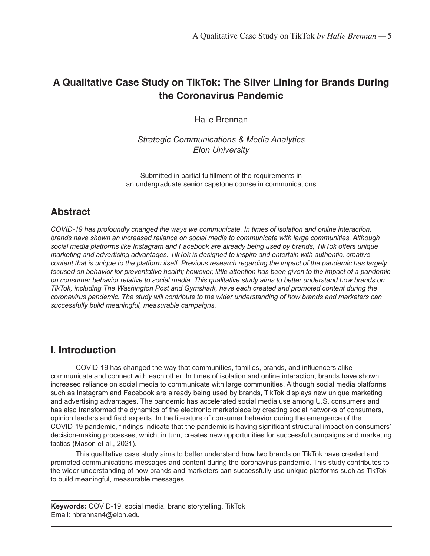# **A Qualitative Case Study on TikTok: The Silver Lining for Brands During the Coronavirus Pandemic**

Halle Brennan

*Strategic Communications & Media Analytics Elon University*

Submitted in partial fulfillment of the requirements in an undergraduate senior capstone course in communications

# **Abstract**

*COVID-19 has profoundly changed the ways we communicate. In times of isolation and online interaction, brands have shown an increased reliance on social media to communicate with large communities. Although social media platforms like Instagram and Facebook are already being used by brands, TikTok offers unique marketing and advertising advantages. TikTok is designed to inspire and entertain with authentic, creative content that is unique to the platform itself. Previous research regarding the impact of the pandemic has largely focused on behavior for preventative health; however, little attention has been given to the impact of a pandemic on consumer behavior relative to social media. This qualitative study aims to better understand how brands on TikTok, including The Washington Post and Gymshark, have each created and promoted content during the coronavirus pandemic. The study will contribute to the wider understanding of how brands and marketers can successfully build meaningful, measurable campaigns.*

# **I. Introduction**

COVID-19 has changed the way that communities, families, brands, and influencers alike communicate and connect with each other. In times of isolation and online interaction, brands have shown increased reliance on social media to communicate with large communities. Although social media platforms such as Instagram and Facebook are already being used by brands, TikTok displays new unique marketing and advertising advantages. The pandemic has accelerated social media use among U.S. consumers and has also transformed the dynamics of the electronic marketplace by creating social networks of consumers, opinion leaders and field experts. In the literature of consumer behavior during the emergence of the COVID-19 pandemic, findings indicate that the pandemic is having significant structural impact on consumers' decision-making processes, which, in turn, creates new opportunities for successful campaigns and marketing tactics (Mason et al., 2021).

This qualitative case study aims to better understand how two brands on TikTok have created and promoted communications messages and content during the coronavirus pandemic. This study contributes to the wider understanding of how brands and marketers can successfully use unique platforms such as TikTok to build meaningful, measurable messages.

**Keywords:** COVID-19, social media, brand storytelling, TikTok Email: hbrennan4@elon.edu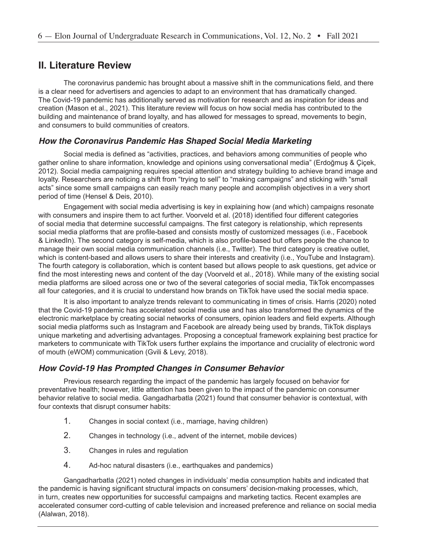### **II. Literature Review**

The coronavirus pandemic has brought about a massive shift in the communications field, and there is a clear need for advertisers and agencies to adapt to an environment that has dramatically changed. The Covid-19 pandemic has additionally served as motivation for research and as inspiration for ideas and creation (Mason et al., 2021). This literature review will focus on how social media has contributed to the building and maintenance of brand loyalty, and has allowed for messages to spread, movements to begin, and consumers to build communities of creators.

#### *How the Coronavirus Pandemic Has Shaped Social Media Marketing*

Social media is defined as "activities, practices, and behaviors among communities of people who gather online to share information, knowledge and opinions using conversational media" (Erdoğmuş & Çiçek, 2012). Social media campaigning requires special attention and strategy building to achieve brand image and loyalty. Researchers are noticing a shift from "trying to sell" to "making campaigns" and sticking with "small acts" since some small campaigns can easily reach many people and accomplish objectives in a very short period of time (Hensel & Deis, 2010).

Engagement with social media advertising is key in explaining how (and which) campaigns resonate with consumers and inspire them to act further. Voorveld et al. (2018) identified four different categories of social media that determine successful campaigns. The first category is relationship, which represents social media platforms that are profile-based and consists mostly of customized messages (i.e., Facebook & LinkedIn). The second category is self-media, which is also profile-based but offers people the chance to manage their own social media communication channels (i.e., Twitter). The third category is creative outlet, which is content-based and allows users to share their interests and creativity (i.e., YouTube and Instagram). The fourth category is collaboration, which is content based but allows people to ask questions, get advice or find the most interesting news and content of the day (Voorveld et al., 2018). While many of the existing social media platforms are siloed across one or two of the several categories of social media, TikTok encompasses all four categories, and it is crucial to understand how brands on TikTok have used the social media space.

It is also important to analyze trends relevant to communicating in times of crisis. Harris (2020) noted that the Covid-19 pandemic has accelerated social media use and has also transformed the dynamics of the electronic marketplace by creating social networks of consumers, opinion leaders and field experts. Although social media platforms such as Instagram and Facebook are already being used by brands, TikTok displays unique marketing and advertising advantages. Proposing a conceptual framework explaining best practice for marketers to communicate with TikTok users further explains the importance and cruciality of electronic word of mouth (eWOM) communication (Gvili & Levy, 2018).

#### *How Covid-19 Has Prompted Changes in Consumer Behavior*

Previous research regarding the impact of the pandemic has largely focused on behavior for preventative health; however, little attention has been given to the impact of the pandemic on consumer behavior relative to social media. Gangadharbatla (2021) found that consumer behavior is contextual, with four contexts that disrupt consumer habits:

- 1. Changes in social context (i.e., marriage, having children)
- 2. Changes in technology (i.e., advent of the internet, mobile devices)
- 3. Changes in rules and regulation
- 4. Ad-hoc natural disasters (i.e., earthquakes and pandemics)

Gangadharbatla (2021) noted changes in individuals' media consumption habits and indicated that the pandemic is having significant structural impacts on consumers' decision-making processes, which, in turn, creates new opportunities for successful campaigns and marketing tactics. Recent examples are accelerated consumer cord-cutting of cable television and increased preference and reliance on social media (Alalwan, 2018).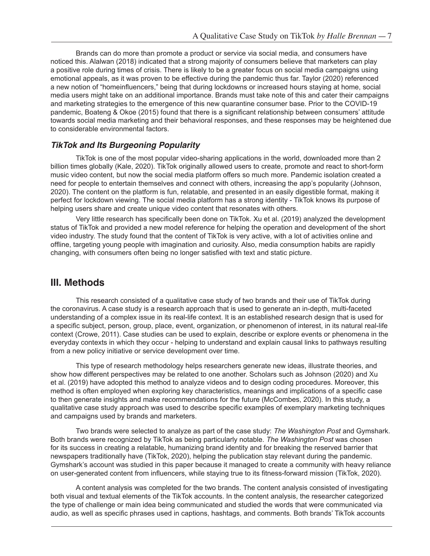Brands can do more than promote a product or service via social media, and consumers have noticed this. Alalwan (2018) indicated that a strong majority of consumers believe that marketers can play a positive role during times of crisis. There is likely to be a greater focus on social media campaigns using emotional appeals, as it was proven to be effective during the pandemic thus far. Taylor (2020) referenced a new notion of "homeinfluencers," being that during lockdowns or increased hours staying at home, social media users might take on an additional importance. Brands must take note of this and cater their campaigns and marketing strategies to the emergence of this new quarantine consumer base. Prior to the COVID-19 pandemic, Boateng & Okoe (2015) found that there is a significant relationship between consumers' attitude towards social media marketing and their behavioral responses, and these responses may be heightened due to considerable environmental factors.

#### *TikTok and Its Burgeoning Popularity*

TikTok is one of the most popular video-sharing applications in the world, downloaded more than 2 billion times globally (Kale, 2020). TikTok originally allowed users to create, promote and react to short-form music video content, but now the social media platform offers so much more. Pandemic isolation created a need for people to entertain themselves and connect with others, increasing the app's popularity (Johnson, 2020). The content on the platform is fun, relatable, and presented in an easily digestible format, making it perfect for lockdown viewing. The social media platform has a strong identity - TikTok knows its purpose of helping users share and create unique video content that resonates with others.

Very little research has specifically been done on TikTok. Xu et al. (2019) analyzed the development status of TikTok and provided a new model reference for helping the operation and development of the short video industry. The study found that the content of TikTok is very active, with a lot of activities online and offline, targeting young people with imagination and curiosity. Also, media consumption habits are rapidly changing, with consumers often being no longer satisfied with text and static picture.

#### **III. Methods**

This research consisted of a qualitative case study of two brands and their use of TikTok during the coronavirus. A case study is a research approach that is used to generate an in-depth, multi-faceted understanding of a complex issue in its real-life context. It is an established research design that is used for a specific subject, person, group, place, event, organization, or phenomenon of interest, in its natural real-life context (Crowe, 2011). Case studies can be used to explain, describe or explore events or phenomena in the everyday contexts in which they occur - helping to understand and explain causal links to pathways resulting from a new policy initiative or service development over time.

This type of research methodology helps researchers generate new ideas, illustrate theories, and show how different perspectives may be related to one another. Scholars such as Johnson (2020) and Xu et al. (2019) have adopted this method to analyze videos and to design coding procedures. Moreover, this method is often employed when exploring key characteristics, meanings and implications of a specific case to then generate insights and make recommendations for the future (McCombes, 2020). In this study, a qualitative case study approach was used to describe specific examples of exemplary marketing techniques and campaigns used by brands and marketers.

Two brands were selected to analyze as part of the case study: *The Washington Post* and Gymshark. Both brands were recognized by TikTok as being particularly notable. *The Washington Post* was chosen for its success in creating a relatable, humanizing brand identity and for breaking the reserved barrier that newspapers traditionally have (TikTok, 2020), helping the publication stay relevant during the pandemic. Gymshark's account was studied in this paper because it managed to create a community with heavy reliance on user-generated content from influencers, while staying true to its fitness-forward mission (TikTok, 2020).

A content analysis was completed for the two brands. The content analysis consisted of investigating both visual and textual elements of the TikTok accounts. In the content analysis, the researcher categorized the type of challenge or main idea being communicated and studied the words that were communicated via audio, as well as specific phrases used in captions, hashtags, and comments. Both brands' TikTok accounts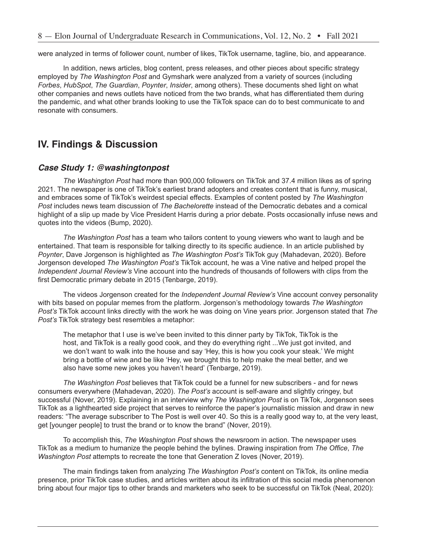were analyzed in terms of follower count, number of likes, TikTok username, tagline, bio, and appearance.

In addition, news articles, blog content, press releases, and other pieces about specific strategy employed by *The Washington Post* and Gymshark were analyzed from a variety of sources (including *Forbes*, *HubSpot*, *The Guardian*, *Poynter*, *Insider*, among others). These documents shed light on what other companies and news outlets have noticed from the two brands, what has differentiated them during the pandemic, and what other brands looking to use the TikTok space can do to best communicate to and resonate with consumers.

## **IV. Findings & Discussion**

#### *Case Study 1: @washingtonpost*

*The Washington Post* had more than 900,000 followers on TikTok and 37.4 million likes as of spring 2021. The newspaper is one of TikTok's earliest brand adopters and creates content that is funny, musical, and embraces some of TikTok's weirdest special effects. Examples of content posted by *The Washington Post* includes news team discussion of *The Bachelorette* instead of the Democratic debates and a comical highlight of a slip up made by Vice President Harris during a prior debate. Posts occasionally infuse news and quotes into the videos (Bump, 2020).

*The Washington Post* has a team who tailors content to young viewers who want to laugh and be entertained. That team is responsible for talking directly to its specific audience. In an article published by *Poynter*, Dave Jorgenson is highlighted as *The Washington Post's* TikTok guy (Mahadevan, 2020). Before Jorgenson developed *The Washington Post's* TikTok account, he was a Vine native and helped propel the *Independent Journal Review's* Vine account into the hundreds of thousands of followers with clips from the first Democratic primary debate in 2015 (Tenbarge, 2019).

The videos Jorgenson created for the *Independent Journal Review's* Vine account convey personality with bits based on popular memes from the platform. Jorgenson's methodology towards *The Washington Post's* TikTok account links directly with the work he was doing on Vine years prior. Jorgenson stated that *The Post's* TikTok strategy best resembles a metaphor:

The metaphor that I use is we've been invited to this dinner party by TikTok, TikTok is the host, and TikTok is a really good cook, and they do everything right ...We just got invited, and we don't want to walk into the house and say 'Hey, this is how you cook your steak.' We might bring a bottle of wine and be like 'Hey, we brought this to help make the meal better, and we also have some new jokes you haven't heard' (Tenbarge, 2019).

*The Washington Post* believes that TikTok could be a funnel for new subscribers - and for news consumers everywhere (Mahadevan, 2020). *The Post's* account is self-aware and slightly cringey, but successful (Nover, 2019). Explaining in an interview why *The Washington Post* is on TikTok, Jorgenson sees TikTok as a lighthearted side project that serves to reinforce the paper's journalistic mission and draw in new readers: "The average subscriber to The Post is well over 40. So this is a really good way to, at the very least, get [younger people] to trust the brand or to know the brand" (Nover, 2019).

To accomplish this, *The Washington Post* shows the newsroom in action. The newspaper uses TikTok as a medium to humanize the people behind the bylines. Drawing inspiration from *The Office*, *The Washington Post* attempts to recreate the tone that Generation Z loves (Nover, 2019).

The main findings taken from analyzing *The Washington Post's* content on TikTok, its online media presence, prior TikTok case studies, and articles written about its infiltration of this social media phenomenon bring about four major tips to other brands and marketers who seek to be successful on TikTok (Neal, 2020):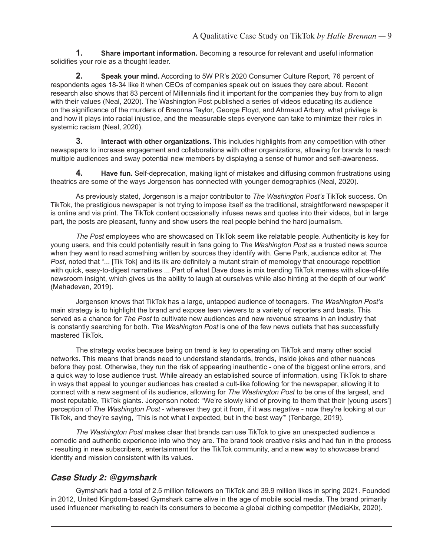**1. Share important information.** Becoming a resource for relevant and useful information solidifies your role as a thought leader.

**2. Speak your mind.** According to 5W PR's 2020 Consumer Culture Report, 76 percent of respondents ages 18-34 like it when CEOs of companies speak out on issues they care about. Recent research also shows that 83 percent of Millennials find it important for the companies they buy from to align with their values (Neal, 2020). The Washington Post published a series of videos educating its audience on the significance of the murders of Breonna Taylor, George Floyd, and Ahmaud Arbery, what privilege is and how it plays into racial injustice, and the measurable steps everyone can take to minimize their roles in systemic racism (Neal, 2020).

**3. Interact with other organizations.** This includes highlights from any competition with other newspapers to increase engagement and collaborations with other organizations, allowing for brands to reach multiple audiences and sway potential new members by displaying a sense of humor and self-awareness.

**4. Have fun.** Self-deprecation, making light of mistakes and diffusing common frustrations using theatrics are some of the ways Jorgenson has connected with younger demographics (Neal, 2020).

As previously stated, Jorgenson is a major contributor to *The Washington Post's* TikTok success. On TikTok, the prestigious newspaper is not trying to impose itself as the traditional, straightforward newspaper it is online and via print. The TikTok content occasionally infuses news and quotes into their videos, but in large part, the posts are pleasant, funny and show users the real people behind the hard journalism.

*The Post* employees who are showcased on TikTok seem like relatable people. Authenticity is key for young users, and this could potentially result in fans going to *The Washington Post* as a trusted news source when they want to read something written by sources they identify with. Gene Park, audience editor at *The Post*, noted that "... [Tik Tok] and its ilk are definitely a mutant strain of memology that encourage repetition with quick, easy-to-digest narratives ... Part of what Dave does is mix trending TikTok memes with slice-of-life newsroom insight, which gives us the ability to laugh at ourselves while also hinting at the depth of our work" (Mahadevan, 2019).

Jorgenson knows that TikTok has a large, untapped audience of teenagers. *The Washington Post's* main strategy is to highlight the brand and expose teen viewers to a variety of reporters and beats. This served as a chance for *The Post* to cultivate new audiences and new revenue streams in an industry that is constantly searching for both. *The Washington Post* is one of the few news outlets that has successfully mastered TikTok.

The strategy works because being on trend is key to operating on TikTok and many other social networks. This means that brands need to understand standards, trends, inside jokes and other nuances before they post. Otherwise, they run the risk of appearing inauthentic - one of the biggest online errors, and a quick way to lose audience trust. While already an established source of information, using TikTok to share in ways that appeal to younger audiences has created a cult-like following for the newspaper, allowing it to connect with a new segment of its audience, allowing for *The Washington Post* to be one of the largest, and most reputable, TikTok giants. Jorgenson noted: "We're slowly kind of proving to them that their [young users'] perception of *The Washington Post* - wherever they got it from, if it was negative - now they're looking at our TikTok, and they're saying, 'This is not what I expected, but in the best way'" (Tenbarge, 2019).

*The Washington Post* makes clear that brands can use TikTok to give an unexpected audience a comedic and authentic experience into who they are. The brand took creative risks and had fun in the process - resulting in new subscribers, entertainment for the TikTok community, and a new way to showcase brand identity and mission consistent with its values.

### *Case Study 2: @gymshark*

Gymshark had a total of 2.5 million followers on TikTok and 39.9 million likes in spring 2021. Founded in 2012, United Kingdom-based Gymshark came alive in the age of mobile social media. The brand primarily used influencer marketing to reach its consumers to become a global clothing competitor (MediaKix, 2020).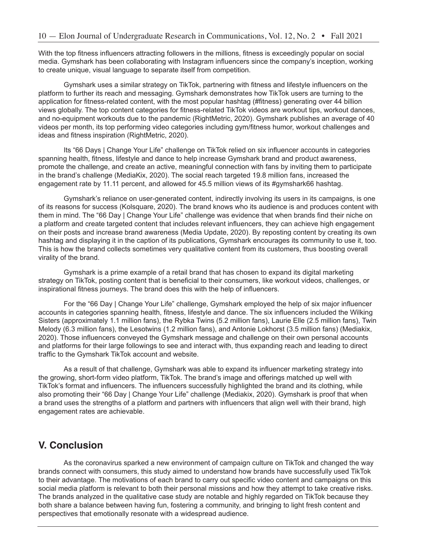With the top fitness influencers attracting followers in the millions, fitness is exceedingly popular on social media. Gymshark has been collaborating with Instagram influencers since the company's inception, working to create unique, visual language to separate itself from competition.

Gymshark uses a similar strategy on TikTok, partnering with fitness and lifestyle influencers on the platform to further its reach and messaging. Gymshark demonstrates how TikTok users are turning to the application for fitness-related content, with the most popular hashtag (#fitness) generating over 44 billion views globally. The top content categories for fitness-related TikTok videos are workout tips, workout dances, and no-equipment workouts due to the pandemic (RightMetric, 2020). Gymshark publishes an average of 40 videos per month, its top performing video categories including gym/fitness humor, workout challenges and ideas and fitness inspiration (RightMetric, 2020).

Its "66 Days | Change Your Life" challenge on TikTok relied on six influencer accounts in categories spanning health, fitness, lifestyle and dance to help increase Gymshark brand and product awareness, promote the challenge, and create an active, meaningful connection with fans by inviting them to participate in the brand's challenge (MediaKix, 2020). The social reach targeted 19.8 million fans, increased the engagement rate by 11.11 percent, and allowed for 45.5 million views of its #gymshark66 hashtag.

Gymshark's reliance on user-generated content, indirectly involving its users in its campaigns, is one of its reasons for success (Kolsquare, 2020). The brand knows who its audience is and produces content with them in mind. The "66 Day | Change Your Life" challenge was evidence that when brands find their niche on a platform and create targeted content that includes relevant influencers, they can achieve high engagement on their posts and increase brand awareness (Media Update, 2020). By reposting content by creating its own hashtag and displaying it in the caption of its publications, Gymshark encourages its community to use it, too. This is how the brand collects sometimes very qualitative content from its customers, thus boosting overall virality of the brand.

Gymshark is a prime example of a retail brand that has chosen to expand its digital marketing strategy on TikTok, posting content that is beneficial to their consumers, like workout videos, challenges, or inspirational fitness journeys. The brand does this with the help of influencers.

For the "66 Day | Change Your Life" challenge, Gymshark employed the help of six major influencer accounts in categories spanning health, fitness, lifestyle and dance. The six influencers included the Wilking Sisters (approximately 1.1 million fans), the Rybka Twins (5.2 million fans), Laurie Elle (2.5 million fans), Twin Melody (6.3 million fans), the Lesotwins (1.2 million fans), and Antonie Lokhorst (3.5 million fans) (Mediakix, 2020). Those influencers conveyed the Gymshark message and challenge on their own personal accounts and platforms for their large followings to see and interact with, thus expanding reach and leading to direct traffic to the Gymshark TikTok account and website.

As a result of that challenge, Gymshark was able to expand its influencer marketing strategy into the growing, short-form video platform, TikTok. The brand's image and offerings matched up well with TikTok's format and influencers. The influencers successfully highlighted the brand and its clothing, while also promoting their "66 Day | Change Your Life" challenge (Mediakix, 2020). Gymshark is proof that when a brand uses the strengths of a platform and partners with influencers that align well with their brand, high engagement rates are achievable.

### **V. Conclusion**

As the coronavirus sparked a new environment of campaign culture on TikTok and changed the way brands connect with consumers, this study aimed to understand how brands have successfully used TikTok to their advantage. The motivations of each brand to carry out specific video content and campaigns on this social media platform is relevant to both their personal missions and how they attempt to take creative risks. The brands analyzed in the qualitative case study are notable and highly regarded on TikTok because they both share a balance between having fun, fostering a community, and bringing to light fresh content and perspectives that emotionally resonate with a widespread audience.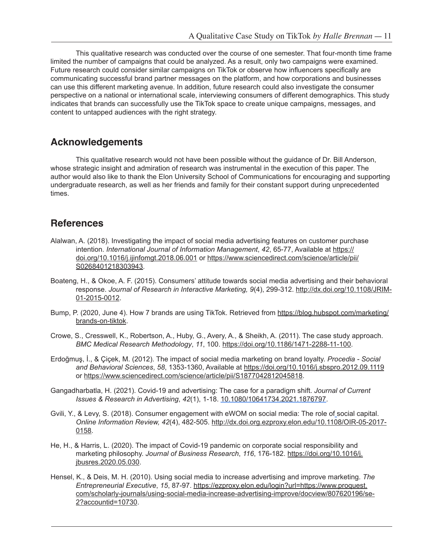This qualitative research was conducted over the course of one semester. That four-month time frame limited the number of campaigns that could be analyzed. As a result, only two campaigns were examined. Future research could consider similar campaigns on TikTok or observe how influencers specifically are communicating successful brand partner messages on the platform, and how corporations and businesses can use this different marketing avenue. In addition, future research could also investigate the consumer perspective on a national or international scale, interviewing consumers of different demographics. This study indicates that brands can successfully use the TikTok space to create unique campaigns, messages, and content to untapped audiences with the right strategy.

## **Acknowledgements**

This qualitative research would not have been possible without the guidance of Dr. Bill Anderson, whose strategic insight and admiration of research was instrumental in the execution of this paper. The author would also like to thank the Elon University School of Communications for encouraging and supporting undergraduate research, as well as her friends and family for their constant support during unprecedented times.

# **References**

- Alalwan, A. (2018). Investigating the impact of social media advertising features on customer purchase intention. *International Journal of Information Management*, *42*, 65-77, Available at https:// doi.org/10.1016/j.ijinfomgt.2018.06.001 or https://www.sciencedirect.com/science/article/pii/ S0268401218303943.
- Boateng, H., & Okoe, A. F. (2015). Consumers' attitude towards social media advertising and their behavioral response. *Journal of Research in Interactive Marketing, 9*(4), 299-312. http://dx.doi.org/10.1108/JRIM-01-2015-0012.
- Bump, P. (2020, June 4). How 7 brands are using TikTok. Retrieved from https://blog.hubspot.com/marketing/ brands-on-tiktok.
- Crowe, S., Cresswell, K., Robertson, A., Huby, G., Avery, A., & Sheikh, A. (2011). The case study approach. *BMC Medical Research Methodology*, *11*, 100. https://doi.org/10.1186/1471-2288-11-100.
- Erdoğmuş, İ., & Çiçek, M. (2012). The impact of social media marketing on brand loyalty. *Procedia Social and Behavioral Sciences*, *58*, 1353-1360, Available at https://doi.org/10.1016/j.sbspro.2012.09.1119 or https://www.sciencedirect.com/science/article/pii/S1877042812045818.
- Gangadharbatla, H. (2021). Covid-19 and advertising: The case for a paradigm shift. *Journal of Current Issues & Research in Advertising*, *42*(1), 1-18. 10.1080/10641734.2021.1876797.
- Gvili, Y., & Levy, S. (2018). Consumer engagement with eWOM on social media: The role of social capital. *Online Information Review, 42*(4), 482-505. http://dx.doi.org.ezproxy.elon.edu/10.1108/OIR-05-2017- 0158.
- He, H., & Harris, L. (2020). The impact of Covid-19 pandemic on corporate social responsibility and marketing philosophy. *Journal of Business Research*, *116*, 176-182. https://doi.org/10.1016/j. jbusres.2020.05.030.
- Hensel, K., & Deis, M. H. (2010). Using social media to increase advertising and improve marketing. *The Entrepreneurial Executive*, *15*, 87-97. https://ezproxy.elon.edu/login?url=https://www.proquest. com/scholarly-journals/using-social-media-increase-advertising-improve/docview/807620196/se-2?accountid=10730.